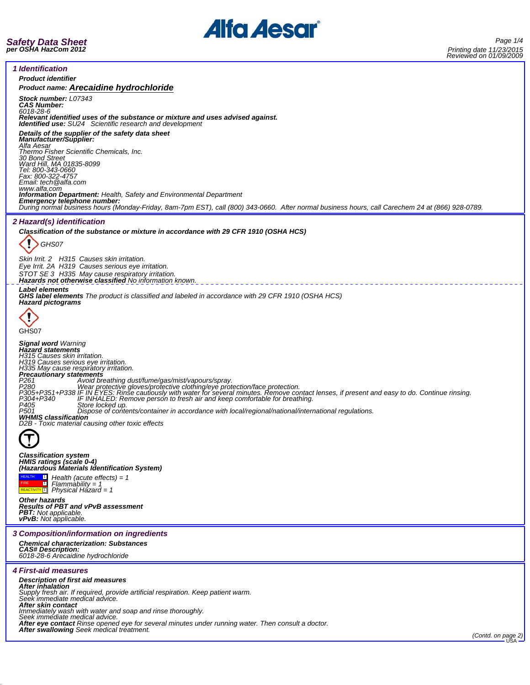

*1 Identification Product identifier Product name: Arecaidine hydrochloride Stock number: L07343 CAS Number: 6018-28-6 Relevant identified uses of the substance or mixture and uses advised against. Identified use: SU24 Scientific research and development Details of the supplier of the safety data sheet Manufacturer/Supplier: Alfa Aesar Thermo Fisher Scientific Chemicals, Inc. 30 Bond Street Ward Hill, MA 01835-8099 Tel: 800-343-0660 Fax: 800-322-4757 Email: tech@alfa.com www.alfa.com*<br>**Information Department:** Health, Safety and Environmental Department **Information Department:** Health, Safety and Environmental Department<br>**Emergency telephone number:**<br>During normal business hours (Monday-Friday, 8am-7pm EST), call (800) 343-0660. After normal business hours, call Careche *2 Hazard(s) identification Classification of the substance or mixture in accordance with 29 CFR 1910 (OSHA HCS)* ı *GHS07 Skin Irrit. 2 H315 Causes skin irritation. Eye Irrit. 2A H319 Causes serious eye irritation. STOT SE 3 H335 May cause respiratory irritation. Hazards not otherwise classified No information known. Label elements GHS label elements The product is classified and labeled in accordance with 29 CFR 1910 (OSHA HCS) Hazard pictograms* IJ GHS<sub>07</sub> *Signal word Warning Hazard statements H315 Causes skin irritation. H319 Causes serious eye irritation. H335 May cause respiratory irritation. Precautionary statements* P261 Avoid breathing dust/fume/gas/mist/vapours/spray.<br>P380 Wear protective gloves/protective cothing/eye protection/face protection.<br>P305+P351+P338 IF IN EYES: Rinse cautiously with water for several minutes. Remove conta *D2B - Toxic material causing other toxic effects*  $\boldsymbol{\tau}$ *Classification system HMIS ratings (scale 0-4) (Hazardous Materials Identification System)* HEALTH FIRE REACTIVITY  $\frac{1}{1}$ *Health (acute effects) = 1 Flammability = 1 Physical Hazard = 1 Other hazards Results of PBT and vPvB assessment PBT: Not applicable. vPvB: Not applicable. 3 Composition/information on ingredients Chemical characterization: Substances CAS# Description: 6018-28-6 Arecaidine hydrochloride 4 First-aid measures Description of first aid measures After inhalation Supply fresh air. If required, provide artificial respiration. Keep patient warm. Seek immediate medical advice. After skin contact Immediately wash with water and soap and rinse thoroughly. Seek immediate medical advice. After eye contact Rinse opened eye for several minutes under running water. Then consult a doctor. After swallowing Seek medical treatment. (Contd. on page 2)*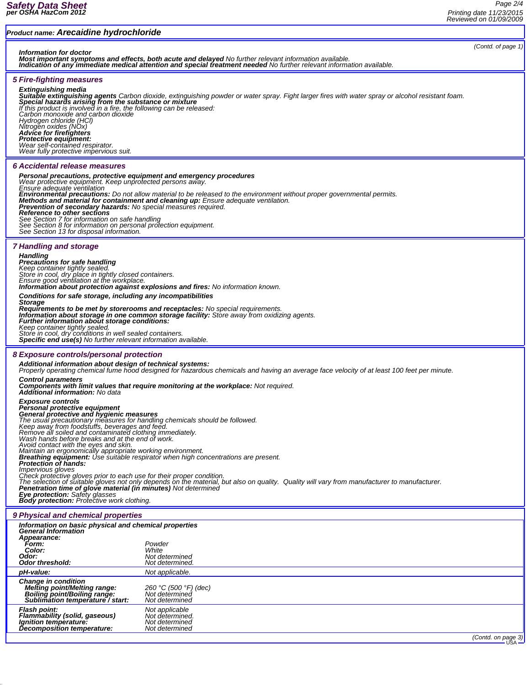| Product name: Arecaidine hydrochloride                                                                                                                                                                                                                                                                                                                                                                                                                                                                                                                                                                                                                                                                                                                                                                                                                                                                                                                                                                                                                |                                                                       |                             |
|-------------------------------------------------------------------------------------------------------------------------------------------------------------------------------------------------------------------------------------------------------------------------------------------------------------------------------------------------------------------------------------------------------------------------------------------------------------------------------------------------------------------------------------------------------------------------------------------------------------------------------------------------------------------------------------------------------------------------------------------------------------------------------------------------------------------------------------------------------------------------------------------------------------------------------------------------------------------------------------------------------------------------------------------------------|-----------------------------------------------------------------------|-----------------------------|
| (Contd. of page 1)<br>Information for doctor<br>Most important symptoms and effects, both acute and delayed No further relevant information available.<br>Indication of any immediate medical attention and special treatment needed No further relevant information available.                                                                                                                                                                                                                                                                                                                                                                                                                                                                                                                                                                                                                                                                                                                                                                       |                                                                       |                             |
| <b>5 Fire-fighting measures</b><br><b>Extinguishing media</b><br>Suitable extinguishing agents Carbon dioxide, extinguishing powder or water spray. Fight larger fires with water spray or alcohol resistant foam.<br>Special hazards arising from the substance or mixture<br>If this product is involved in a fire, the following can be released:<br>Carbon monoxide and carbon dioxide<br>Hydrogen chloride (HCl)<br>Nitrogen oxides (NOx)<br><b>Advice for firefighters</b><br>Protective equipment:<br>Wear self-contained respirator.<br>Wear fully protective impervious suit.                                                                                                                                                                                                                                                                                                                                                                                                                                                                |                                                                       |                             |
| 6 Accidental release measures<br>Personal precautions, protective equipment and emergency procedures<br>Wear protective equipment. Keep unprotected persons away.<br>Ensure adequate ventilation<br>Environmental precautions: Do not allow material to be released to the environment without proper governmental permits.<br>Methods and material for containment and cleaning up: Ensure adequate ventilation.<br>Prevention of secondary hazards: No special measures required.<br>Reference to other sections<br>See Section 7 for information on safe handling<br>See Section 8 for information on personal protection equipment.<br>See Section 13 for disposal information.                                                                                                                                                                                                                                                                                                                                                                   |                                                                       |                             |
| <b>7 Handling and storage</b><br><b>Handling</b><br><b>Precautions for safe handling</b><br>Keep container tightly sealed.<br>Store in cool, dry place in tightly closed containers.<br>Ensure good ventilation at the workplace.<br><b>Information about protection against explosions and fires:</b> No information known.<br>Conditions for safe storage, including any incompatibilities<br><b>Storage</b><br><b>Requirements to be met by storerooms and receptacles:</b> No special requirements.<br>Information about storage in one common storage facility: Store away from oxidizing agents.<br>Further information about storage conditions:<br>Keep container tightly sealed.<br>Store in cool, dry conditions in well sealed containers.<br>Specific end use(s) No further relevant information available.                                                                                                                                                                                                                               |                                                                       |                             |
| 8 Exposure controls/personal protection<br>Additional information about design of technical systems:<br>Properly operating chemical fume hood designed for hazardous chemicals and having an average face velocity of at least 100 feet per minute.                                                                                                                                                                                                                                                                                                                                                                                                                                                                                                                                                                                                                                                                                                                                                                                                   |                                                                       |                             |
| <b>Control parameters</b><br>Components with limit values that require monitoring at the workplace: Not required.                                                                                                                                                                                                                                                                                                                                                                                                                                                                                                                                                                                                                                                                                                                                                                                                                                                                                                                                     |                                                                       |                             |
| <b>Additional information: No data</b><br><b>Exposure controls</b><br>Personal protective equipment<br>General protective and nyglenic measures<br>The usual precautionary measures for handling chemicals should be followed.<br>Reep away from foodstuffs, beverages and feed.<br>Reep away from foodstuffs, beverages and feed.<br>Wash hands before breaks and at the end of work.<br>Avoid contact with the eyes and skin.<br>Maintain an ergonomically appropriate working environment.<br><b>Breathing equipment:</b> Use suitable respirator when high concentrations are present.<br><b>Protection of hands:</b><br><i><b>Impervious gloves</b></i><br>Check protective gloves prior to each use for their proper condition.<br>The selection of suitable gloves not only depends on the material, but also on quality. Quality will vary from manufacturer to manufacturer.<br>Penetration time of glove material (in minutes) Not determined<br><b>Eye protection: Safety glasses</b><br><b>Body protection:</b> Protective work clothing. |                                                                       |                             |
| 9 Physical and chemical properties                                                                                                                                                                                                                                                                                                                                                                                                                                                                                                                                                                                                                                                                                                                                                                                                                                                                                                                                                                                                                    |                                                                       |                             |
| Information on basic physical and chemical properties<br><b>General Information</b>                                                                                                                                                                                                                                                                                                                                                                                                                                                                                                                                                                                                                                                                                                                                                                                                                                                                                                                                                                   |                                                                       |                             |
| Appearance:<br>Form:                                                                                                                                                                                                                                                                                                                                                                                                                                                                                                                                                                                                                                                                                                                                                                                                                                                                                                                                                                                                                                  |                                                                       |                             |
| Color:<br>Odor:                                                                                                                                                                                                                                                                                                                                                                                                                                                                                                                                                                                                                                                                                                                                                                                                                                                                                                                                                                                                                                       | Powder<br>White<br>Not determined                                     |                             |
| <b>Odor threshold:</b>                                                                                                                                                                                                                                                                                                                                                                                                                                                                                                                                                                                                                                                                                                                                                                                                                                                                                                                                                                                                                                | Not determined.                                                       |                             |
| pH-value:                                                                                                                                                                                                                                                                                                                                                                                                                                                                                                                                                                                                                                                                                                                                                                                                                                                                                                                                                                                                                                             | Not applicable.                                                       |                             |
| <b>Change in condition</b><br><b>Melting point/Melting range:</b><br>Boiling point/Boiling range:<br>Sublimation temperature / start:                                                                                                                                                                                                                                                                                                                                                                                                                                                                                                                                                                                                                                                                                                                                                                                                                                                                                                                 | 260 °C (500 °F) (dec)<br>Not determined<br>Not determined             |                             |
| <b>Flash point:</b><br>Flammability (solid, gaseous)<br>Ignition temperature:<br>Decomposition temperature:                                                                                                                                                                                                                                                                                                                                                                                                                                                                                                                                                                                                                                                                                                                                                                                                                                                                                                                                           | Not applicable<br>Not determined.<br>Not determined<br>Not determined |                             |
|                                                                                                                                                                                                                                                                                                                                                                                                                                                                                                                                                                                                                                                                                                                                                                                                                                                                                                                                                                                                                                                       |                                                                       | (Contd. on page 3)<br>USA - |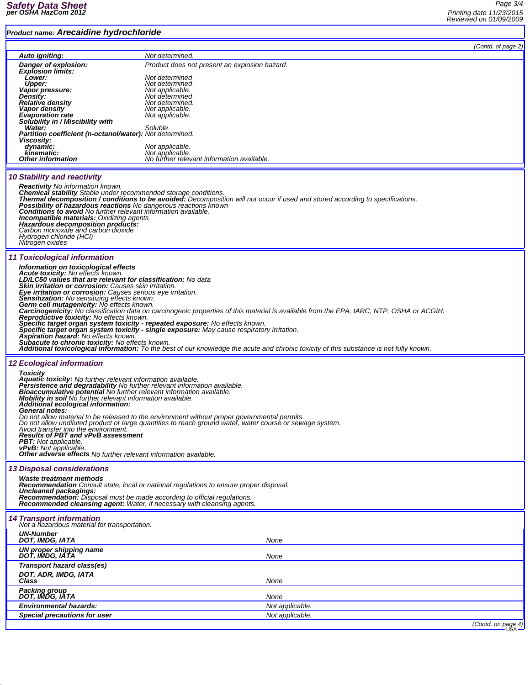## *Product name: Arecaidine hydrochloride*

*Page 3/4 Printing date 11/23/2015 Reviewed on 01/09/2009* ٦

| Product name. Arecaldine hydrochlonde                                                                                                                                                                                                                                                                                                                                                                                                                                                                                                                                                               |                                                                                                                                                                            |                    |
|-----------------------------------------------------------------------------------------------------------------------------------------------------------------------------------------------------------------------------------------------------------------------------------------------------------------------------------------------------------------------------------------------------------------------------------------------------------------------------------------------------------------------------------------------------------------------------------------------------|----------------------------------------------------------------------------------------------------------------------------------------------------------------------------|--------------------|
|                                                                                                                                                                                                                                                                                                                                                                                                                                                                                                                                                                                                     |                                                                                                                                                                            | (Contd. of page 2) |
| Auto igniting:                                                                                                                                                                                                                                                                                                                                                                                                                                                                                                                                                                                      | Not determined.                                                                                                                                                            |                    |
| Danger of explosion:<br><b>Explosion limits:</b>                                                                                                                                                                                                                                                                                                                                                                                                                                                                                                                                                    | Product does not present an explosion hazard.                                                                                                                              |                    |
| Lower:<br>Upper:                                                                                                                                                                                                                                                                                                                                                                                                                                                                                                                                                                                    | Not determined<br>Not determined                                                                                                                                           |                    |
| Vapor pressure:<br><b>Density:</b>                                                                                                                                                                                                                                                                                                                                                                                                                                                                                                                                                                  | Not applicable.<br>Not determined                                                                                                                                          |                    |
| Relative density<br>Vapor density                                                                                                                                                                                                                                                                                                                                                                                                                                                                                                                                                                   | Not determined.<br>Not applicable.                                                                                                                                         |                    |
| <b>Evaporation rate</b>                                                                                                                                                                                                                                                                                                                                                                                                                                                                                                                                                                             | Not applicable.                                                                                                                                                            |                    |
| Solubility in / Miscibility with<br>Water:                                                                                                                                                                                                                                                                                                                                                                                                                                                                                                                                                          | Soluble                                                                                                                                                                    |                    |
| Partition coefficient (n-octanol/water): Not determined.<br>Viscosity:                                                                                                                                                                                                                                                                                                                                                                                                                                                                                                                              |                                                                                                                                                                            |                    |
| dynamic:<br>kinematic:                                                                                                                                                                                                                                                                                                                                                                                                                                                                                                                                                                              | Not applicable.<br>Not applicable.                                                                                                                                         |                    |
| <b>Other information</b>                                                                                                                                                                                                                                                                                                                                                                                                                                                                                                                                                                            | No further relevant information available.                                                                                                                                 |                    |
| <b>10 Stability and reactivity</b><br><b>Reactivity</b> No information known.<br>Chemical stability Stable under recommended storage conditions.<br>Thermal decomposition / conditions to be avoided: Decomposition will not occur if used and stored according to specifications.<br>Possibility of hazardous reactions No dangerous reactions known<br>Conditions to avoid No further relevant information available.<br><b>Incompatible materials: Oxidizing agents</b><br>Hazardous decomposition products:<br>Carbon monoxide and carbon dioxide<br>Hydrogen chloride (HCI)<br>Nitrogen oxides |                                                                                                                                                                            |                    |
| 11 Toxicological information                                                                                                                                                                                                                                                                                                                                                                                                                                                                                                                                                                        |                                                                                                                                                                            |                    |
| Information on toxicological effects<br><b>Acute toxicity:</b> No effects known.                                                                                                                                                                                                                                                                                                                                                                                                                                                                                                                    |                                                                                                                                                                            |                    |
| LD/LC50 values that are relevant for classification: No data<br>Skin irritation or corrosion: Causes skin irritation.                                                                                                                                                                                                                                                                                                                                                                                                                                                                               |                                                                                                                                                                            |                    |
| Eye irritation or corrosion: Causes serious eye irritation.<br><b>Sensitization:</b> No sensitizing effects known.                                                                                                                                                                                                                                                                                                                                                                                                                                                                                  |                                                                                                                                                                            |                    |
| Germ cell mutagenicity: No effects known.                                                                                                                                                                                                                                                                                                                                                                                                                                                                                                                                                           |                                                                                                                                                                            |                    |
| <b>Reproductive toxicity:</b> No effects known.                                                                                                                                                                                                                                                                                                                                                                                                                                                                                                                                                     | Carcinogenicity: No classification data on carcinogenic properties of this material is available from the EPA, IARC, NTP, OSHA or ACGIH.                                   |                    |
|                                                                                                                                                                                                                                                                                                                                                                                                                                                                                                                                                                                                     | Specific target organ system toxicity - repeated exposure: No effects known.<br>Specific target organ system toxicity - single exposure: May cause respiratory irritation. |                    |
| Aspiration hazard: No effects known.<br>Subacute to chronic toxicity: No effects known.                                                                                                                                                                                                                                                                                                                                                                                                                                                                                                             |                                                                                                                                                                            |                    |
|                                                                                                                                                                                                                                                                                                                                                                                                                                                                                                                                                                                                     | Additional toxicological information: To the best of our knowledge the acute and chronic toxicity of this substance is not fully known.                                    |                    |
| <b>12 Ecological information</b>                                                                                                                                                                                                                                                                                                                                                                                                                                                                                                                                                                    |                                                                                                                                                                            |                    |
| Toxicity<br>Aquatic toxicity: No further relevant information available.                                                                                                                                                                                                                                                                                                                                                                                                                                                                                                                            |                                                                                                                                                                            |                    |
| Persistence and degradability No further relevant information available.<br>Bioaccumulative potential No further relevant information available.                                                                                                                                                                                                                                                                                                                                                                                                                                                    |                                                                                                                                                                            |                    |
| Mobility in soil No further relevant information available.<br>Additional ecological information:                                                                                                                                                                                                                                                                                                                                                                                                                                                                                                   |                                                                                                                                                                            |                    |
| General notes:                                                                                                                                                                                                                                                                                                                                                                                                                                                                                                                                                                                      | Do not allow material to be released to the environment without proper governmental permits.                                                                               |                    |
|                                                                                                                                                                                                                                                                                                                                                                                                                                                                                                                                                                                                     | Do not allow undiluted product or large quantities to reach ground water, water course or sewage system.                                                                   |                    |
| Avoid transfer into the environment.<br><b>Results of PBT and vPvB assessment</b>                                                                                                                                                                                                                                                                                                                                                                                                                                                                                                                   |                                                                                                                                                                            |                    |
| <b>PBT:</b> Not applicable.<br><b>vPvB:</b> Not applicable.                                                                                                                                                                                                                                                                                                                                                                                                                                                                                                                                         |                                                                                                                                                                            |                    |
| <b>Other adverse effects</b> No further relevant information available.                                                                                                                                                                                                                                                                                                                                                                                                                                                                                                                             |                                                                                                                                                                            |                    |
| <b>13 Disposal considerations</b><br><b>Waste treatment methods</b>                                                                                                                                                                                                                                                                                                                                                                                                                                                                                                                                 |                                                                                                                                                                            |                    |
|                                                                                                                                                                                                                                                                                                                                                                                                                                                                                                                                                                                                     | Recommendation Consult state, local or national regulations to ensure proper disposal.                                                                                     |                    |
| Uncleaned packagings:<br><b>Recommendation:</b> Disposal must be made according to official regulations.                                                                                                                                                                                                                                                                                                                                                                                                                                                                                            |                                                                                                                                                                            |                    |
| Recommended cleansing agent: Water, if necessary with cleansing agents.                                                                                                                                                                                                                                                                                                                                                                                                                                                                                                                             |                                                                                                                                                                            |                    |
| <b>14 Transport information</b><br>Not a hazardous material for transportation.                                                                                                                                                                                                                                                                                                                                                                                                                                                                                                                     |                                                                                                                                                                            |                    |
| <b>UN-Number</b><br>DOT, IMDG, IATA                                                                                                                                                                                                                                                                                                                                                                                                                                                                                                                                                                 | None                                                                                                                                                                       |                    |
| UN proper shipping name<br>DOT, IMDG, IATA                                                                                                                                                                                                                                                                                                                                                                                                                                                                                                                                                          | None                                                                                                                                                                       |                    |
| Transport hazard class(es)                                                                                                                                                                                                                                                                                                                                                                                                                                                                                                                                                                          |                                                                                                                                                                            |                    |
| DOT, ADR, IMDG, IATA<br>Class                                                                                                                                                                                                                                                                                                                                                                                                                                                                                                                                                                       | None                                                                                                                                                                       |                    |
| Packing group<br>DOT, IMDG, IATA                                                                                                                                                                                                                                                                                                                                                                                                                                                                                                                                                                    | None                                                                                                                                                                       |                    |
| <b>Environmental hazards:</b>                                                                                                                                                                                                                                                                                                                                                                                                                                                                                                                                                                       | Not applicable.                                                                                                                                                            |                    |
| Special precautions for user                                                                                                                                                                                                                                                                                                                                                                                                                                                                                                                                                                        | Not applicable.                                                                                                                                                            |                    |
|                                                                                                                                                                                                                                                                                                                                                                                                                                                                                                                                                                                                     |                                                                                                                                                                            | (Contd. on page 4) |